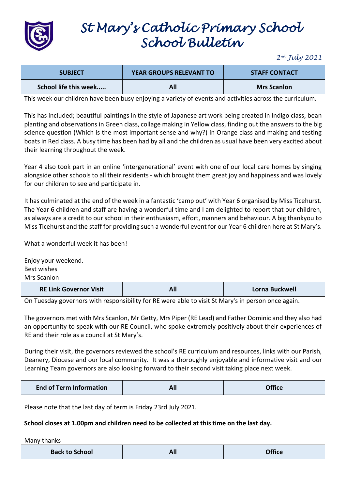

## *St Mary's Catholic Primary School School Bulletin*

*2 nd July 2021*

| <b>SUBJECT</b>        | <b>YEAR GROUPS RELEVANT TO</b> | <b>STAFF CONTACT</b> |
|-----------------------|--------------------------------|----------------------|
| School life this week | All                            | <b>Mrs Scanlon</b>   |

This week our children have been busy enjoying a variety of events and activities across the curriculum.

This has included; beautiful paintings in the style of Japanese art work being created in Indigo class, bean planting and observations in Green class, collage making in Yellow class, finding out the answers to the big science question (Which is the most important sense and why?) in Orange class and making and testing boats in Red class. A busy time has been had by all and the children as usual have been very excited about their learning throughout the week.

Year 4 also took part in an online 'intergenerational' event with one of our local care homes by singing alongside other schools to all their residents - which brought them great joy and happiness and was lovely for our children to see and participate in.

It has culminated at the end of the week in a fantastic 'camp out' with Year 6 organised by Miss Ticehurst. The Year 6 children and staff are having a wonderful time and I am delighted to report that our children, as always are a credit to our school in their enthusiasm, effort, manners and behaviour. A big thankyou to Miss Ticehurst and the staff for providing such a wonderful event for our Year 6 children here at St Mary's.

What a wonderful week it has been!

Enjoy your weekend. Best wishes Mrs Scanlon

**RE Link Governor Visit All Lorna Buckwell**

On Tuesday governors with responsibility for RE were able to visit St Mary's in person once again.

The governors met with Mrs Scanlon, Mr Getty, Mrs Piper (RE Lead) and Father Dominic and they also had an opportunity to speak with our RE Council, who spoke extremely positively about their experiences of RE and their role as a council at St Mary's.

During their visit, the governors reviewed the school's RE curriculum and resources, links with our Parish, Deanery, Diocese and our local community. It was a thoroughly enjoyable and informative visit and our Learning Team governors are also looking forward to their second visit taking place next week.

| <b>End of Term Information</b> | AI. | <b>Office</b> |
|--------------------------------|-----|---------------|
|--------------------------------|-----|---------------|

Please note that the last day of term is Friday 23rd July 2021.

**School closes at 1.00pm and children need to be collected at this time on the last day.**

Many thanks

| <b>Back to School</b> | All | <b>Office</b> |
|-----------------------|-----|---------------|
|-----------------------|-----|---------------|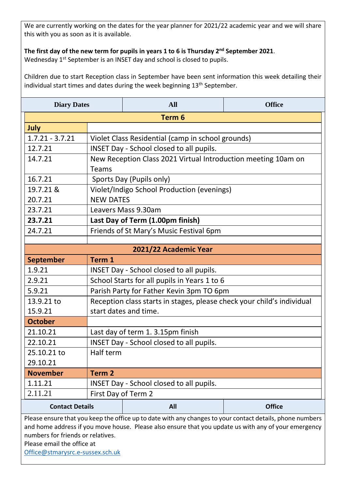We are currently working on the dates for the year planner for 2021/22 academic year and we will share this with you as soon as it is available.

## **The first day of the new term for pupils in years 1 to 6 is Thursday 2nd September 2021**.

Wednesday 1<sup>st</sup> September is an INSET day and school is closed to pupils.

Children due to start Reception class in September have been sent information this week detailing their individual start times and dates during the week beginning 13<sup>th</sup> September.

| <b>Diary Dates</b>                                                                                                                        |                                                                        | <b>All</b>                                                    | <b>Office</b> |
|-------------------------------------------------------------------------------------------------------------------------------------------|------------------------------------------------------------------------|---------------------------------------------------------------|---------------|
|                                                                                                                                           |                                                                        | Term <sub>6</sub>                                             |               |
| July                                                                                                                                      |                                                                        |                                                               |               |
| $1.7.21 - 3.7.21$                                                                                                                         |                                                                        | Violet Class Residential (camp in school grounds)             |               |
| 12.7.21                                                                                                                                   |                                                                        | <b>INSET Day - School closed to all pupils.</b>               |               |
| 14.7.21                                                                                                                                   |                                                                        | New Reception Class 2021 Virtual Introduction meeting 10am on |               |
|                                                                                                                                           | <b>Teams</b>                                                           |                                                               |               |
| 16.7.21                                                                                                                                   |                                                                        | Sports Day (Pupils only)                                      |               |
| 19.7.21 &                                                                                                                                 |                                                                        | Violet/Indigo School Production (evenings)                    |               |
| 20.7.21                                                                                                                                   | <b>NEW DATES</b>                                                       |                                                               |               |
| 23.7.21                                                                                                                                   | Leavers Mass 9.30am                                                    |                                                               |               |
| 23.7.21                                                                                                                                   | Last Day of Term (1.00pm finish)                                       |                                                               |               |
| 24.7.21                                                                                                                                   | Friends of St Mary's Music Festival 6pm                                |                                                               |               |
|                                                                                                                                           |                                                                        |                                                               |               |
| 2021/22 Academic Year                                                                                                                     |                                                                        |                                                               |               |
| <b>September</b>                                                                                                                          | Term 1                                                                 |                                                               |               |
| 1.9.21                                                                                                                                    | INSET Day - School closed to all pupils.                               |                                                               |               |
| 2.9.21                                                                                                                                    | School Starts for all pupils in Years 1 to 6                           |                                                               |               |
| 5.9.21                                                                                                                                    | Parish Party for Father Kevin 3pm TO 6pm                               |                                                               |               |
| 13.9.21 to                                                                                                                                | Reception class starts in stages, please check your child's individual |                                                               |               |
| 15.9.21                                                                                                                                   | start dates and time.                                                  |                                                               |               |
| <b>October</b>                                                                                                                            |                                                                        |                                                               |               |
| 21.10.21                                                                                                                                  | Last day of term 1. 3.15pm finish                                      |                                                               |               |
| 22.10.21                                                                                                                                  | <b>INSET Day - School closed to all pupils.</b>                        |                                                               |               |
| 25.10.21 to                                                                                                                               | Half term                                                              |                                                               |               |
| 29.10.21                                                                                                                                  |                                                                        |                                                               |               |
| <b>November</b>                                                                                                                           | Term <sub>2</sub>                                                      |                                                               |               |
| 1.11.21                                                                                                                                   | INSET Day - School closed to all pupils.                               |                                                               |               |
| 2.11.21                                                                                                                                   | First Day of Term 2                                                    |                                                               |               |
| <b>Contact Details</b>                                                                                                                    |                                                                        | All                                                           | <b>Office</b> |
| Please ensure that you keep the office up to date with any changes to your contact details, phone numbers                                 |                                                                        |                                                               |               |
| and home address if you move house. Please also ensure that you update us with any of your emergency<br>numbers for friends or relatives. |                                                                        |                                                               |               |
|                                                                                                                                           |                                                                        |                                                               |               |

Please email the office at

[Office@stmarysrc.e-sussex.sch.uk](mailto:Office@stmarysrc.e-sussex.sch.uk)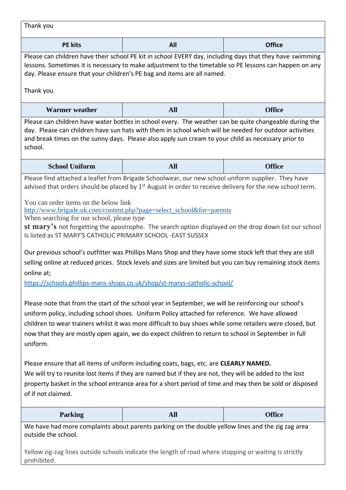| Thank you                                                                                                                                                                                                                                                                                                                                                                                                                                                                                                                                                                                                                                                                                                                                                                                                                                                                                                                                                                                                                                                                                                                                                                                                                                                                                                                                                                                                                                                                                                                                                                                                                                                    |            |               |
|--------------------------------------------------------------------------------------------------------------------------------------------------------------------------------------------------------------------------------------------------------------------------------------------------------------------------------------------------------------------------------------------------------------------------------------------------------------------------------------------------------------------------------------------------------------------------------------------------------------------------------------------------------------------------------------------------------------------------------------------------------------------------------------------------------------------------------------------------------------------------------------------------------------------------------------------------------------------------------------------------------------------------------------------------------------------------------------------------------------------------------------------------------------------------------------------------------------------------------------------------------------------------------------------------------------------------------------------------------------------------------------------------------------------------------------------------------------------------------------------------------------------------------------------------------------------------------------------------------------------------------------------------------------|------------|---------------|
| <b>PE</b> kits                                                                                                                                                                                                                                                                                                                                                                                                                                                                                                                                                                                                                                                                                                                                                                                                                                                                                                                                                                                                                                                                                                                                                                                                                                                                                                                                                                                                                                                                                                                                                                                                                                               | All        | <b>Office</b> |
| Please can children have their school PE kit in school EVERY day, including days that they have swimming<br>lessons. Sometimes it is necessary to make adjustment to the timetable so PE lessons can happen on any<br>day. Please ensure that your children's PE bag and items are all named.                                                                                                                                                                                                                                                                                                                                                                                                                                                                                                                                                                                                                                                                                                                                                                                                                                                                                                                                                                                                                                                                                                                                                                                                                                                                                                                                                                |            |               |
| Thank you                                                                                                                                                                                                                                                                                                                                                                                                                                                                                                                                                                                                                                                                                                                                                                                                                                                                                                                                                                                                                                                                                                                                                                                                                                                                                                                                                                                                                                                                                                                                                                                                                                                    |            |               |
| <b>Warmer</b> weather                                                                                                                                                                                                                                                                                                                                                                                                                                                                                                                                                                                                                                                                                                                                                                                                                                                                                                                                                                                                                                                                                                                                                                                                                                                                                                                                                                                                                                                                                                                                                                                                                                        | <b>All</b> | <b>Office</b> |
| Please can children have water bottles in school every. The weather can be quite changeable during the<br>day. Please can children have sun hats with them in school which will be needed for outdoor activities<br>and break times on the sunny days. Please also apply sun cream to your child as necessary prior to<br>school.                                                                                                                                                                                                                                                                                                                                                                                                                                                                                                                                                                                                                                                                                                                                                                                                                                                                                                                                                                                                                                                                                                                                                                                                                                                                                                                            |            |               |
| <b>School Uniform</b>                                                                                                                                                                                                                                                                                                                                                                                                                                                                                                                                                                                                                                                                                                                                                                                                                                                                                                                                                                                                                                                                                                                                                                                                                                                                                                                                                                                                                                                                                                                                                                                                                                        | <b>All</b> | <b>Office</b> |
| Please find attached a leaflet from Brigade Schoolwear, our new school uniform supplier. They have<br>advised that orders should be placed by $1st$ August in order to receive delivery for the new school term.<br>You can order items on the below link<br>http://www.brigade.uk.com/content.php?page=select_school&for=parents<br>When searching for our school, please type<br>st mary's not forgetting the apostrophe. The search option displayed on the drop down list our school<br>Is listed as ST MARY'S CATHOLIC PRIMARY SCHOOL - EAST SUSSEX<br>Our previous school's outfitter was Phillips Mans Shop and they have some stock left that they are still<br>selling online at reduced prices. Stock levels and sizes are limited but you can buy remaining stock items<br>online at;<br>https://schools.phillips-mans-shops.co.uk/shop/st-marys-catholic-school/<br>Please note that from the start of the school year in September, we will be reinforcing our school's<br>uniform policy, including school shoes. Uniform Policy attached for reference. We have allowed<br>children to wear trainers whilst it was more difficult to buy shoes while some retailers were closed, but<br>now that they are mostly open again, we do expect children to return to school in September in full<br>uniform.<br>Please ensure that all items of uniform including coats, bags, etc. are CLEARLY NAMED.<br>We will try to reunite lost items if they are named but if they are not, they will be added to the lost<br>property basket in the school entrance area for a short period of time and may then be sold or disposed<br>of if not claimed. |            |               |
| <b>Parking</b>                                                                                                                                                                                                                                                                                                                                                                                                                                                                                                                                                                                                                                                                                                                                                                                                                                                                                                                                                                                                                                                                                                                                                                                                                                                                                                                                                                                                                                                                                                                                                                                                                                               | <b>All</b> | <b>Office</b> |
| We have had more complaints about parents parking on the double yellow lines and the zig zag area<br>outside the school.<br>Yellow zig-zag lines outside schools indicate the length of road where stopping or waiting is strictly<br>prohibited.                                                                                                                                                                                                                                                                                                                                                                                                                                                                                                                                                                                                                                                                                                                                                                                                                                                                                                                                                                                                                                                                                                                                                                                                                                                                                                                                                                                                            |            |               |